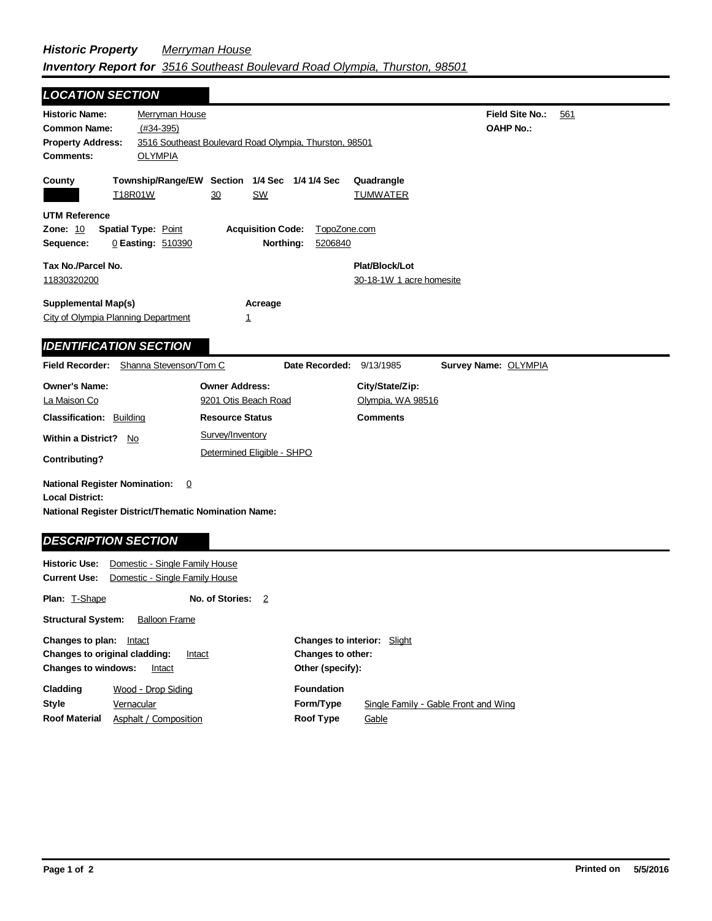## *Historic Property Merryman House Inventory Report for 3516 Southeast Boulevard Road Olympia, Thurston, 98501*

| <b>LOCATION SECTION</b>                                                                      |                                                                                       |                                                   |  |
|----------------------------------------------------------------------------------------------|---------------------------------------------------------------------------------------|---------------------------------------------------|--|
| <b>Historic Name:</b><br><b>Common Name:</b>                                                 | Merryman House<br>$(H34-395)$                                                         | <b>Field Site No.:</b><br>561<br><b>OAHP No.:</b> |  |
| <b>Property Address:</b><br><b>Comments:</b>                                                 | 3516 Southeast Boulevard Road Olympia, Thurston, 98501<br><b>OLYMPIA</b>              |                                                   |  |
| County<br>T18R01W                                                                            | Township/Range/EW Section 1/4 Sec 1/4 1/4 Sec<br>30<br>SW                             | Quadrangle<br><b>TUMWATER</b>                     |  |
| UTM Reference<br>Zone: 10<br><b>Spatial Type: Point</b><br>Sequence:                         | <b>Acquisition Code:</b><br>TopoZone.com<br>Northing:<br>0 Easting: 510390<br>5206840 |                                                   |  |
| Tax No./Parcel No.<br>11830320200                                                            |                                                                                       | Plat/Block/Lot<br>30-18-1W 1 acre homesite        |  |
| <b>Supplemental Map(s)</b><br>City of Olympia Planning Department                            | Acreage<br>1                                                                          |                                                   |  |
| <b>IDENTIFICATION SECTION</b>                                                                |                                                                                       |                                                   |  |
| Field Recorder: Shanna Stevenson/Tom C                                                       | Date Recorded:                                                                        | 9/13/1985<br>Survey Name: OLYMPIA                 |  |
| <b>Owner's Name:</b><br>La Maison Co                                                         | <b>Owner Address:</b><br>9201 Otis Beach Road                                         | City/State/Zip:<br>Olympia, WA 98516              |  |
| <b>Classification: Building</b><br><b>Within a District?</b><br>No.<br>Contributing?         | <b>Resource Status</b><br>Survey/Inventory<br>Determined Eligible - SHPO              | <b>Comments</b>                                   |  |
| <b>National Register Nomination:</b><br><b>Local District:</b><br><b>DESCRIPTION SECTION</b> | 0<br><b>National Register District/Thematic Nomination Name:</b>                      |                                                   |  |
| <b>Historic Use:</b><br>Current Use:                                                         | Domestic - Single Family House<br>Domestic - Single Family House                      |                                                   |  |

| <b>Plan: T-Shape</b>                                                                                          | No. of Stories:       | -2                                                                                 |                   |                                      |
|---------------------------------------------------------------------------------------------------------------|-----------------------|------------------------------------------------------------------------------------|-------------------|--------------------------------------|
| <b>Structural System:</b>                                                                                     | <b>Balloon Frame</b>  |                                                                                    |                   |                                      |
| Changes to plan:<br>Intact<br>Changes to original cladding:<br>Intact<br><b>Changes to windows:</b><br>Intact |                       | <b>Changes to interior:</b> Slight<br><b>Changes to other:</b><br>Other (specify): |                   |                                      |
| Cladding                                                                                                      | Wood - Drop Siding    |                                                                                    | <b>Foundation</b> |                                      |
| <b>Style</b>                                                                                                  | Vernacular            |                                                                                    | Form/Type         | Single Family - Gable Front and Wing |
| <b>Roof Material</b>                                                                                          | Asphalt / Composition |                                                                                    | <b>Roof Type</b>  | Gable                                |

Ξ.